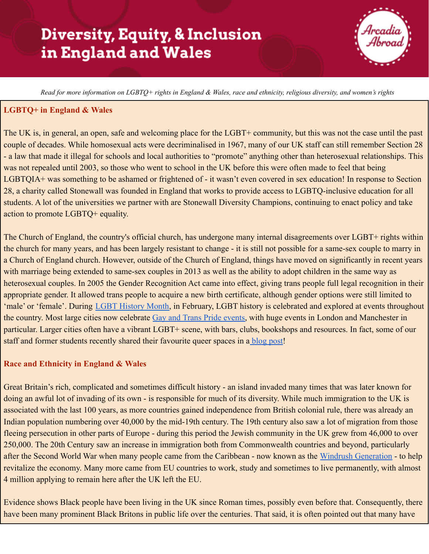# **Diversity, Equity, & Inclusion** in England and Wales



Read for more information on LGBTQ+ rights in England & Wales, race and ethnicity, religious diversity, and women's rights

### **LGBTQ+ in England & Wales**

The UK is, in general, an open, safe and welcoming place for the LGBT+ community, but this was not the case until the past couple of decades. While homosexual acts were decriminalised in 1967, many of our UK staff can still remember Section 28 - a law that made it illegal for schools and local authorities to "promote" anything other than heterosexual relationships. This was not repealed until 2003, so those who went to school in the UK before this were often made to feel that being LGBTQIA+ was something to be ashamed or frightened of - it wasn't even covered in sex education! In response to Section 28, a charity called Stonewall was founded in England that works to provide access to LGBTQ-inclusive education for all students. A lot of the universities we partner with are Stonewall Diversity Champions, continuing to enact policy and take action to promote LGBTQ+ equality.

The Church of England, the country's official church, has undergone many internal disagreements over LGBT+ rights within the church for many years, and has been largely resistant to change - it is still not possible for a same-sex couple to marry in a Church of England church. However, outside of the Church of England, things have moved on significantly in recent years with marriage being extended to same-sex couples in 2013 as well as the ability to adopt children in the same way as heterosexual couples. In 2005 the Gender Recognition Act came into effect, giving trans people full legal recognition in their appropriate gender. It allowed trans people to acquire a new birth certificate, although gender options were still limited to 'male' or 'female'. During [LGBT History Month,](https://lgbtplushistorymonth.co.uk/) in February, LGBT history is celebrated and explored at events throughout the country. Most large cities now celebrate Gay and [Trans Pride events,](https://gayprideshop.co.uk/pages/uk-gay-pride-calendar-2020) with huge events in London and Manchester in particular. Larger cities often have a vibrant LGBT+ scene, with bars, clubs, bookshops and resources. In fact, some of our staff and former students recently shared their favourite queer spaces in a [blog post!](https://studyabroad.arcadia.edu/blogs/arcadia-england/post/london-pride/)

#### **Race and Ethnicity in England & Wales**

Great Britain's rich, complicated and sometimes difficult history - an island invaded many times that was later known for doing an awful lot of invading of its own - is responsible for much of its diversity. While much immigration to the UK is associated with the last 100 years, as more countries gained independence from British colonial rule, there was already an Indian population numbering over 40,000 by the mid-19th century. The 19th century also saw a lot of migration from those fleeing persecution in other parts of Europe - during this period the Jewish community in the UK grew from 46,000 to over 250,000. The 20th Century saw an increase in immigration both from Commonwealth countries and beyond, particularly after the Second World War when many people came from the Caribbean - now known as the [Windrush Generation](https://www.bbc.co.uk/news/uk-43808007) - to help revitalize the economy. Many more came from EU countries to work, study and sometimes to live permanently, with almost 4 million applying to remain here after the UK left the EU.

Evidence shows Black people have been living in the UK since Roman times, possibly even before that. Consequently, there have been many prominent Black Britons in public life over the centuries. That said, it is often pointed out that many have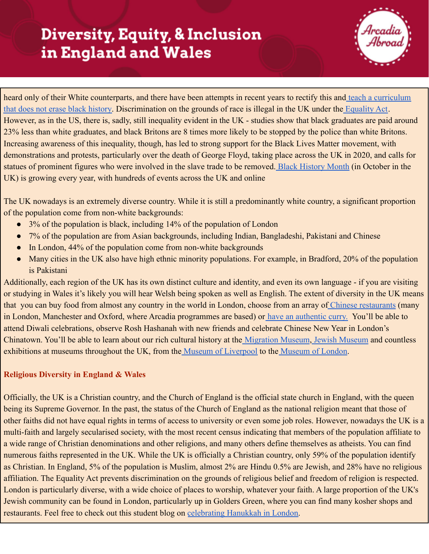## **Diversity, Equity, & Inclusion** in England and Wales



heard only of their White counterparts, and there have been attempts in recent years to rectify this and [teach a curriculum](https://theblackcurriculum.com/) [that does not erase black history.](https://theblackcurriculum.com/) Discrimination on the grounds of race is illegal in the UK under the [Equality Act](https://www.gov.uk/guidance/equality-act-2010-guidance). However, as in the US, there is, sadly, still inequality evident in the UK - studies show that black graduates are paid around 23% less than white graduates, and black Britons are 8 times more likely to be stopped by the police than white Britons. Increasing awareness of this inequality, though, has led to strong support for the Black Lives Matter movement, with demonstrations and protests, particularly over the death of George Floyd, taking place across the UK in 2020, and calls for statues of prominent figures who were involved in the slave trade to be removed. [Black History Month](https://www.blackhistorymonth.org.uk/) (in October in the UK) is growing every year, with hundreds of events across the UK and online

The UK nowadays is an extremely diverse country. While it is still a predominantly white country, a significant proportion of the population come from non-white backgrounds:

- 3% of the population is black, including 14% of the population of London
- 7% of the population are from Asian backgrounds, including Indian, Bangladeshi, Pakistani and Chinese
- In London, 44% of the population come from non-white backgrounds
- Many cities in the UK also have high ethnic minority populations. For example, in Bradford, 20% of the population is Pakistani

Additionally, each region of the UK has its own distinct culture and identity, and even its own language - if you are visiting or studying in Wales it's likely you will hear Welsh being spoken as well as English. The extent of diversity in the UK means that [you can buy food from almost any country in](https://www.timeout.com/london/blog/around-the-world-in-80-plates-londons-best-international-dishes-042516) the world in London, choose from an array of Chinese [restaurants](https://www.hardens.com/uk-london/20-01-2016/the-uks-top-20-chinese-restaurants/) (many in London, Manchester and Oxford, where Arcadia programmes are based) or [have an authentic curry.](https://www.timeout.com/london/restaurants/londons-best-indian-restaurants) You'll be able to attend Diwali celebrations, observe Rosh Hashanah with new friends and celebrate Chinese New Year in London's Chinatown. You'll be able to learn about our rich cultural history at the [Migration Museum](https://www.migrationmuseum.org/), [Jewish Museum](https://jewishmuseum.org.uk/) and countless exhibitions at museums throughout the UK, from the [Museum of Liverpool](https://www.liverpoolmuseums.org.uk/museum-of-liverpool) to the [Museum of London.](https://www.museumoflondon.org.uk/)

### **Religious Diversity in England & Wales**

Officially, the UK is a Christian country, and the Church of England is the official state church in England, with the queen being its Supreme Governor. In the past, the status of the Church of England as the national religion meant that those of other faiths did not have equal rights in terms of access to university or even some job roles. However, nowadays the UK is a multi-faith and largely secularised society, with the most recent census indicating that members of the population affiliate to a wide range of Christian denominations and other religions, and many others define themselves as atheists. You can find numerous faiths represented in the UK. While the UK is officially a Christian country, only 59% of the population identify as Christian. In England, 5% of the population is Muslim, almost 2% are Hindu 0.5% are Jewish, and 28% have no religious affiliation. The Equality Act prevents discrimination on the grounds of religious belief and freedom of religion is respected. London is particularly diverse, with a wide choice of places to worship, whatever your faith. A large proportion of the UK's Jewish community can be found in London, particularly up in Golders Green, where you can find many kosher shops and restaurants. Feel free to check out this student blog on [celebrating Hanukkah in London.](https://studyabroad.arcadia.edu/blogs/arcadia-england/post/celebrating-hanukkah-in-london/)